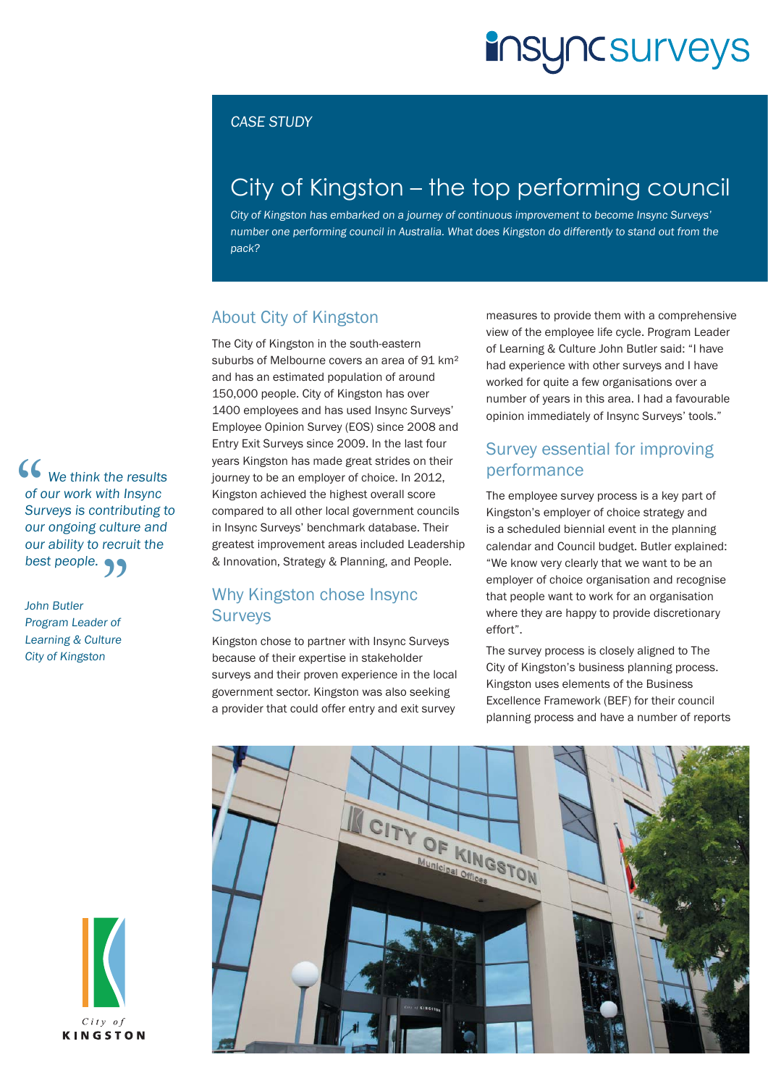# **insyncsurveys**

#### CASE STUDY

### City of Kingston – the top performing council

City of Kingston has embarked on a journey of continuous improvement to become Insync Surveys' number one performing council in Australia. What does Kingston do differently to stand out from the pack?

#### About City of Kingston

The City of Kingston in the south-eastern suburbs of Melbourne covers an area of 91 km<sup>2</sup> and has an estimated population of around 150,000 people. City of Kingston has over 1400 employees and has used Insync Surveys' Employee Opinion Survey (EOS) since 2008 and Entry Exit Surveys since 2009. In the last four years Kingston has made great strides on their journey to be an employer of choice. In 2012, Kingston achieved the highest overall score compared to all other local government councils in Insync Surveys' benchmark database. Their greatest improvement areas included Leadership & Innovation, Strategy & Planning, and People.

#### Why Kingston chose Insync **Surveys**

Kingston chose to partner with Insync Surveys because of their expertise in stakeholder surveys and their proven experience in the local government sector. Kingston was also seeking a provider that could offer entry and exit survey

measures to provide them with a comprehensive view of the employee life cycle. Program Leader of Learning & Culture John Butler said: "I have had experience with other surveys and I have worked for quite a few organisations over a number of years in this area. I had a favourable opinion immediately of Insync Surveys' tools."

#### Survey essential for improving performance

The employee survey process is a key part of Kingston's employer of choice strategy and is a scheduled biennial event in the planning calendar and Council budget. Butler explained: "We know very clearly that we want to be an employer of choice organisation and recognise that people want to work for an organisation where they are happy to provide discretionary effort".

The survey process is closely aligned to The City of Kingston's business planning process. Kingston uses elements of the Business Excellence Framework (BEF) for their council planning process and have a number of reports



 $\begin{array}{c} \mathbf{C} \\ \mathbf{C} \\ \mathbf{C} \\ \mathbf{C} \\ \mathbf{C} \\ \mathbf{C} \\ \mathbf{C} \\ \mathbf{C} \\ \mathbf{C} \end{array}$ **We think the results** of our work with Insync Surveys is contributing to our ongoing culture and our ability to recruit the

best people.<br>
John Butler<br>Program Leader of John Butler Program Leader of Learning & Culture City of Kingston

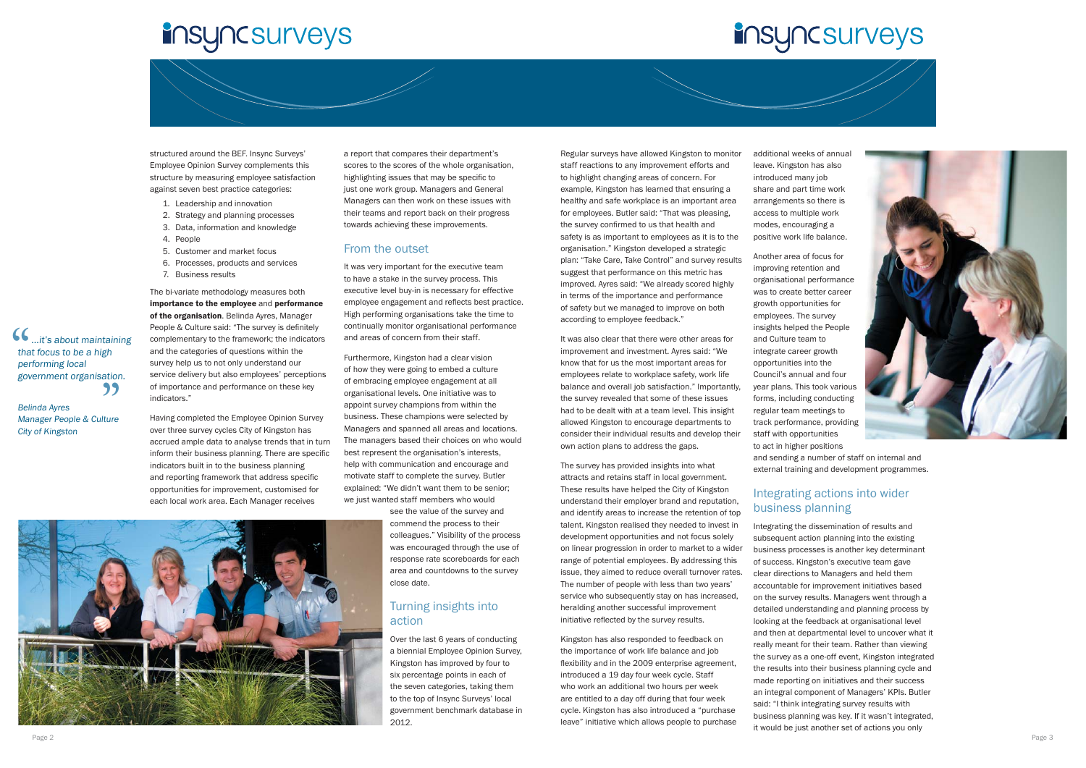

Belinda Ayres Manager People & Culture City of Kingston





## **insyncsurveys**



structured around the BEF. Insync Surveys' Employee Opinion Survey complements this structure by measuring employee satisfaction against seven best practice categories:

- 1. Leadership and innovation
- 2. Strategy and planning processes
- 3. Data, information and knowledge
- 4. People
- 5. Customer and market focus
- 6. Processes, products and services
- 7. Business results

The bi-variate methodology measures both importance to the employee and performance of the organisation. Belinda Ayres, Manager People & Culture said: "The survey is definitely complementary to the framework; the indicators and the categories of questions within the survey help us to not only understand our service delivery but also employees' perceptions of importance and performance on these key indicators."

Having completed the Employee Opinion Survey over three survey cycles City of Kingston has accrued ample data to analyse trends that in turn inform their business planning. There are specific indicators built in to the business planning and reporting framework that address specific opportunities for improvement, customised for each local work area. Each Manager receives

a report that compares their department's scores to the scores of the whole organisation, highlighting issues that may be specific to just one work group. Managers and General Managers can then work on these issues with their teams and report back on their progress towards achieving these improvements.

#### From the outset

It was very important for the executive team to have a stake in the survey process. This executive level buy-in is necessary for effective employee engagement and reflects best practice. High performing organisations take the time to continually monitor organisational performance and areas of concern from their staff.

> The survey has provided insights into what attracts and retains staff in local government. These results have helped the City of Kingston understand their employer brand and reputation, and identify areas to increase the retention of top talent. Kingston realised they needed to invest in development opportunities and not focus solely on linear progression in order to market to a wider range of potential employees. By addressing this issue, they aimed to reduce overall turnover rates. The number of people with less than two years' service who subsequently stay on has increased, heralding another successful improvement initiative reflected by the survey results.

Furthermore, Kingston had a clear vision of how they were going to embed a culture of embracing employee engagement at all organisational levels. One initiative was to appoint survey champions from within the business. These champions were selected by Managers and spanned all areas and locations. The managers based their choices on who would best represent the organisation's interests, help with communication and encourage and motivate staff to complete the survey. Butler explained: "We didn't want them to be senior; we just wanted staff members who would

> see the value of the survey and commend the process to their colleagues." Visibility of the process was encouraged through the use of response rate scoreboards for each area and countdowns to the survey close date.

#### Turning insights into action

Over the last 6 years of conducting a biennial Employee Opinion Survey, Kingston has improved by four to six percentage points in each of the seven categories, taking them to the top of Insync Surveys' local government benchmark database in 2012.

Regular surveys have allowed Kingston to monitor staff reactions to any improvement efforts and to highlight changing areas of concern. For example, Kingston has learned that ensuring a healthy and safe workplace is an important area for employees. Butler said: "That was pleasing, the survey confirmed to us that health and safety is as important to employees as it is to the organisation." Kingston developed a strategic plan: "Take Care, Take Control" and survey results suggest that performance on this metric has improved. Ayres said: "We already scored highly in terms of the importance and performance of safety but we managed to improve on both according to employee feedback."

It was also clear that there were other areas for improvement and investment. Ayres said: "We know that for us the most important areas for employees relate to workplace safety, work life balance and overall job satisfaction." Importantly, the survey revealed that some of these issues had to be dealt with at a team level. This insight allowed Kingston to encourage departments to consider their individual results and develop their own action plans to address the gaps.

Kingston has also responded to feedback on the importance of work life balance and job flexibility and in the 2009 enterprise agreement, introduced a 19 day four week cycle. Staff who work an additional two hours per week are entitled to a day off during that four week cycle. Kingston has also introduced a "purchase leave" initiative which allows people to purchase

additional weeks of annual leave. Kingston has also introduced many job share and part time work arrangements so there is access to multiple work modes, encouraging a positive work life balance.

Another area of focus for improving retention and organisational performance was to create better career growth opportunities for employees. The survey insights helped the People and Culture team to integrate career growth opportunities into the Council's annual and four year plans. This took various forms, including conducting regular team meetings to track performance, providing staff with opportunities to act in higher positions and sending a number of staff on internal and external training and development programmes.

### Integrating actions into wider business planning

Integrating the dissemination of results and subsequent action planning into the existing business processes is another key determinant of success. Kingston's executive team gave clear directions to Managers and held them accountable for improvement initiatives based on the survey results. Managers went through a detailed understanding and planning process by looking at the feedback at organisational level and then at departmental level to uncover what it really meant for their team. Rather than viewing the survey as a one-off event, Kingston integrated the results into their business planning cycle and made reporting on initiatives and their success an integral component of Managers' KPIs. Butler said: "I think integrating survey results with business planning was key. If it wasn't integrated, it would be just another set of actions you only Page 2 Page 3